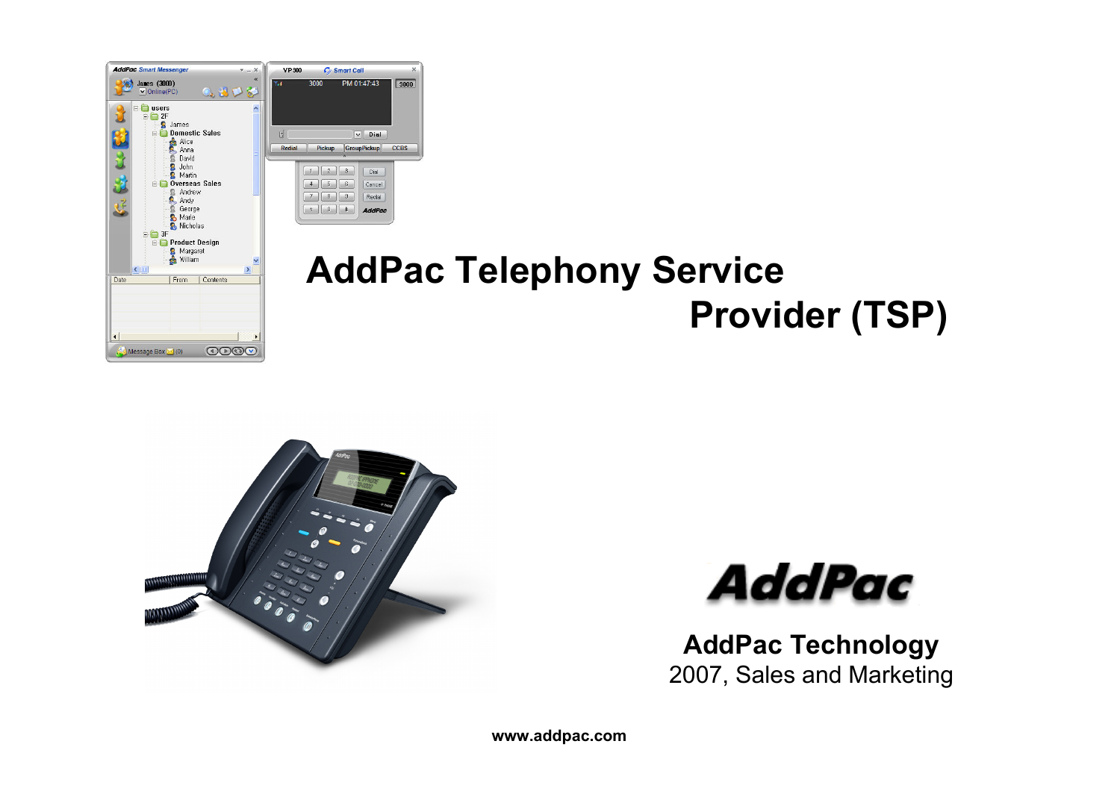

#### **AddPac Telephony Service Provider (TSP)**



 $3000$ 

Dial

Cancel

 $Recial$ 

AddPac



**AddPac Technology** 2007, Sales and Marketing

**www.addpac.com**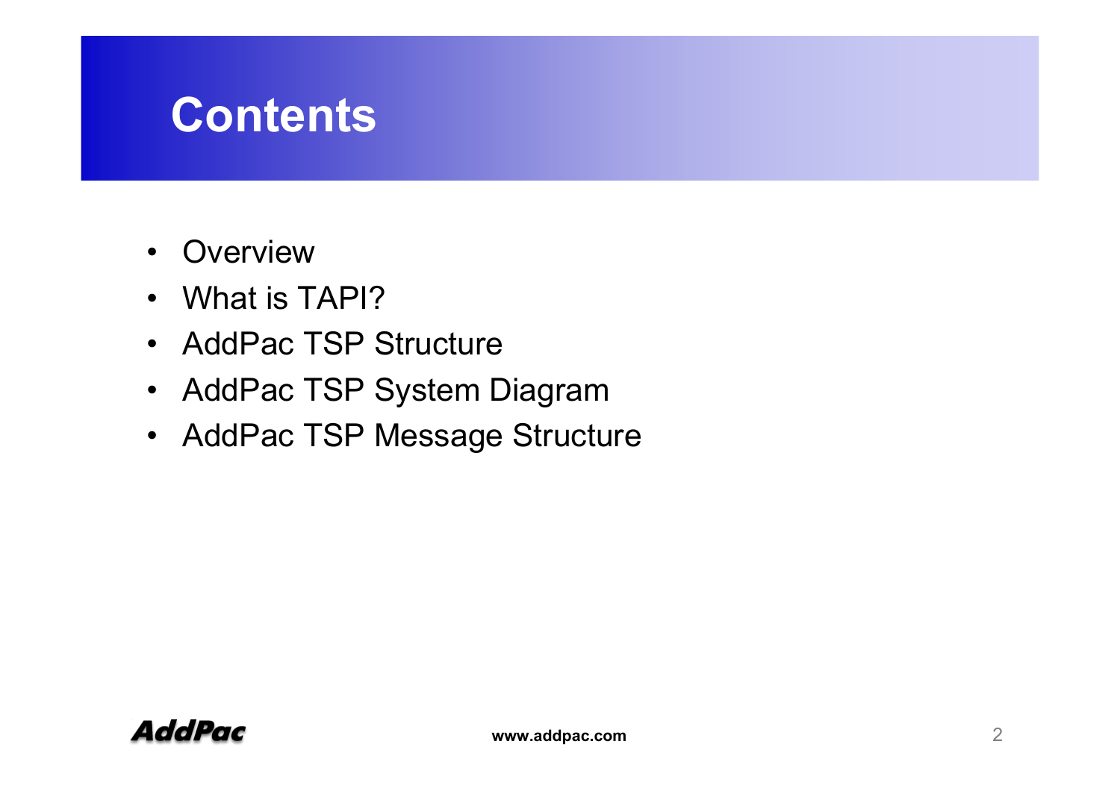#### **Contents**

- $\bullet$ **Overview**
- What is TAPI?
- AddPac TSP Structure
- •AddPac TSP System Diagram
- AddPac TSP Message Structure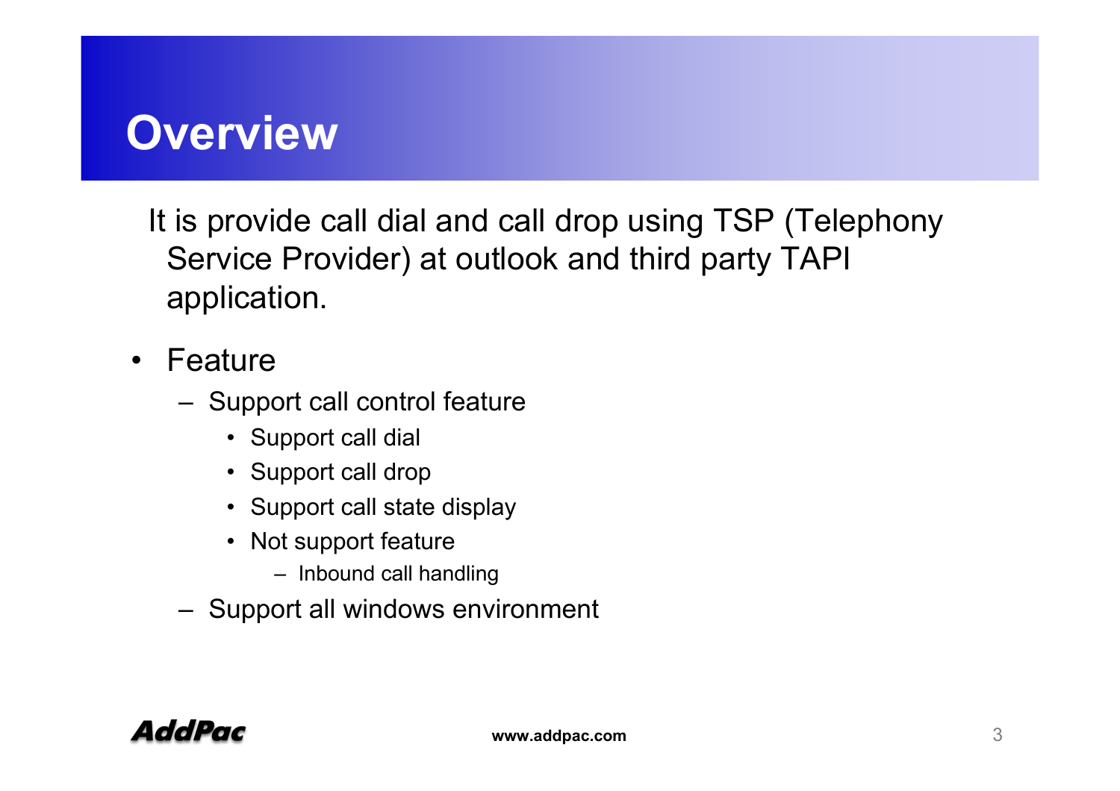#### **Overview**

It is provide call dial and call drop using TSP (Telephony Service Provider) at outlook and third party TAPI application.

- Feature
	- Support call control feature
		- Support call dial
		- Support call drop
		- Support call state display
		- Not support feature
			- Inbound call handling
	- Support all windows environment

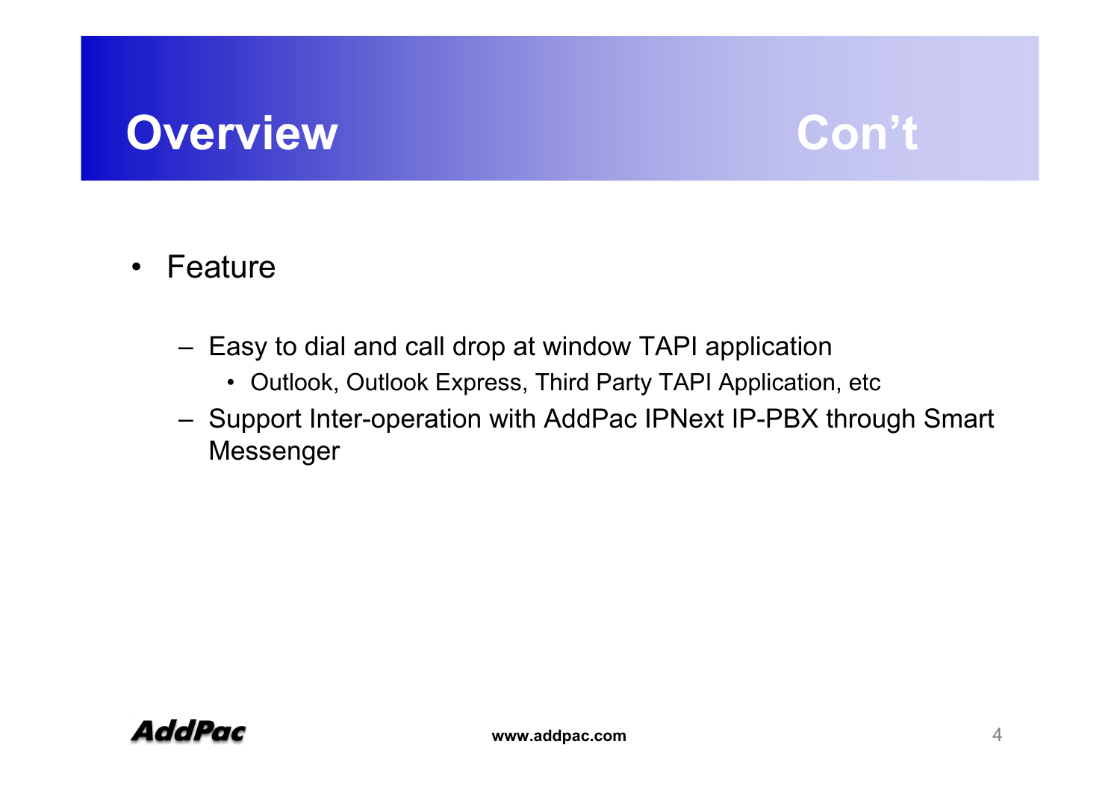#### **Overview Con't**



- $\bullet$  Feature
	- Easy to dial and call drop at window TAPI application
		- Outlook, Outlook Express, Third Party TAPI Application, etc
	- Support Inter-operation with AddPac IPNext IP-PBX through Smart Messenger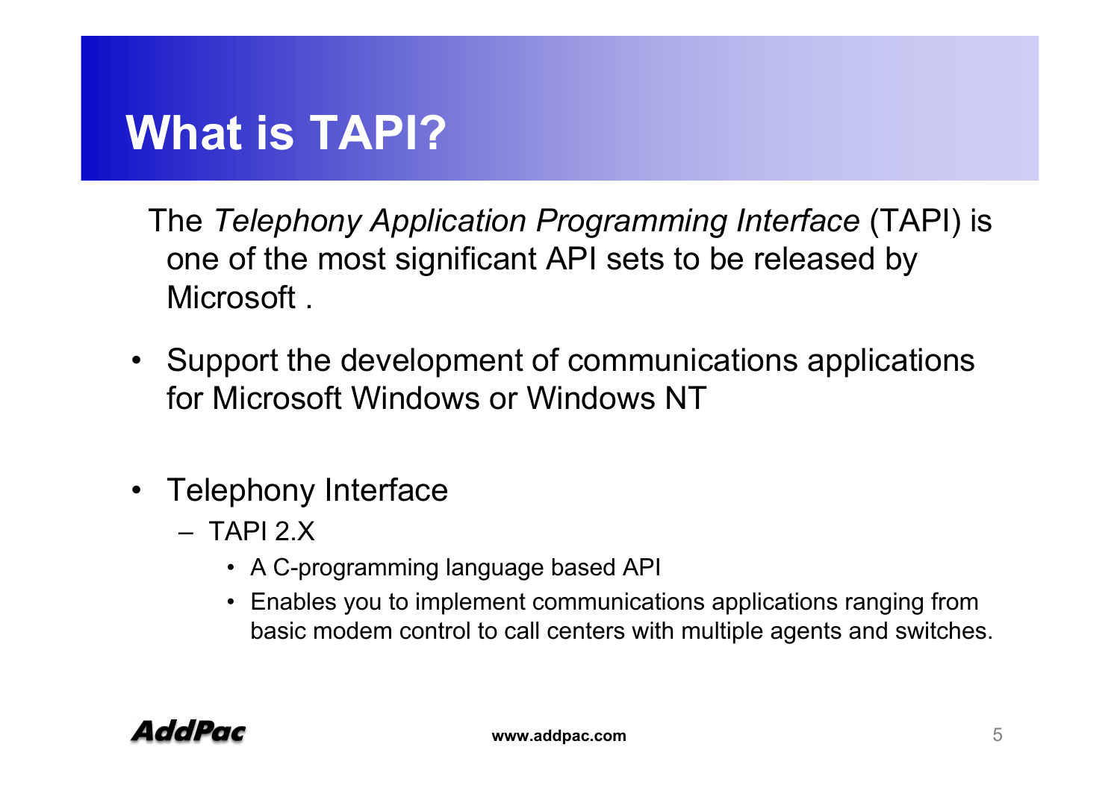#### **What is TAPI?**

The *Telephony Application Programming Interface* (TAPI) is one of the most significant API sets to be released by Microsoft .

- Support the development of communications applications for Microsoft Windows or Windows NT
- Telephony Interface
	- TAPI 2.X
		- A C-programming language based API
		- Enables you to implement communications applications ranging from basic modem control to call centers with multiple agents and switches.

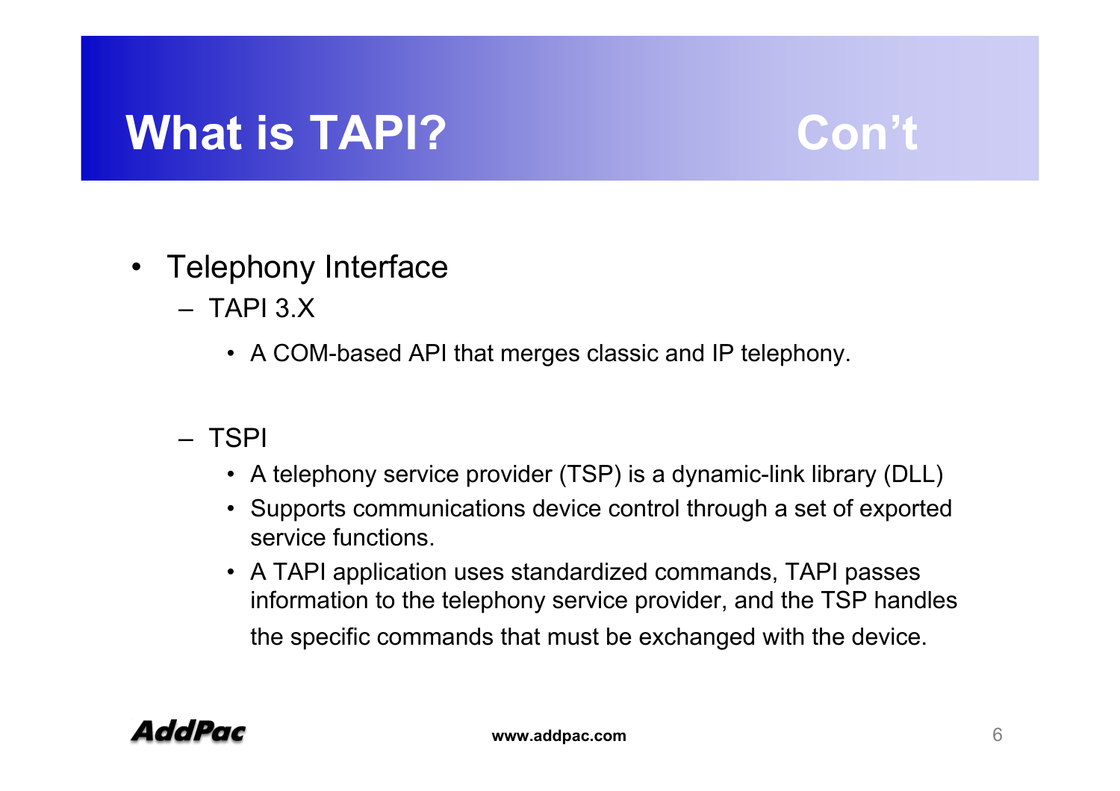#### **What is TAPI? Con't**

- Telephony Interface
	- TAPI 3.X
		- A COM-based API that merges classic and IP telephony.
	- TSPI
		- A telephony service provider (TSP) is a dynamic-link library (DLL)
		- Supports communications device control through a set of exported service functions.
		- A TAPI application uses standardized commands, TAPI passes information to the telephony service provider, and the TSP handles the specific commands that must be exchanged with the device.

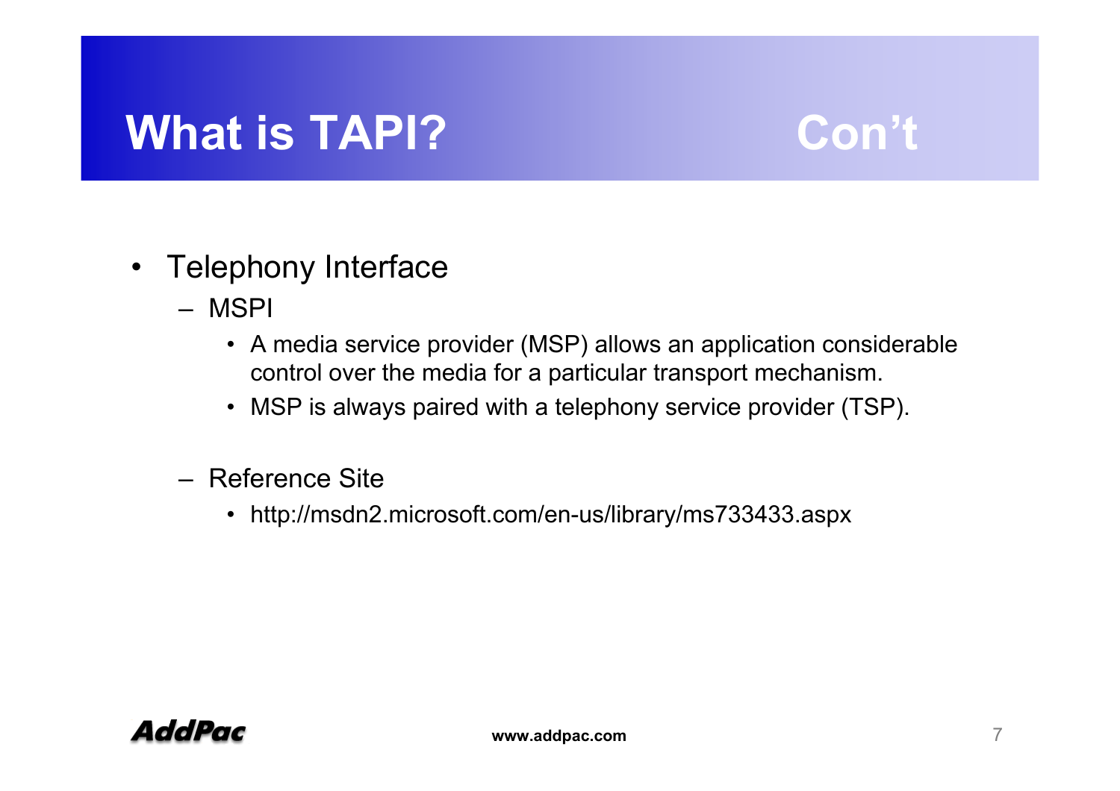#### **What is TAPI? Con't**

- Telephony Interface
	- MSPI
		- A media service provider (MSP) allows an application considerable control over the media for a particular transport mechanism.
		- MSP is always paired with a telephony service provider (TSP).
	- Reference Site
		- http://msdn2.microsoft.com/en-us/library/ms733433.aspx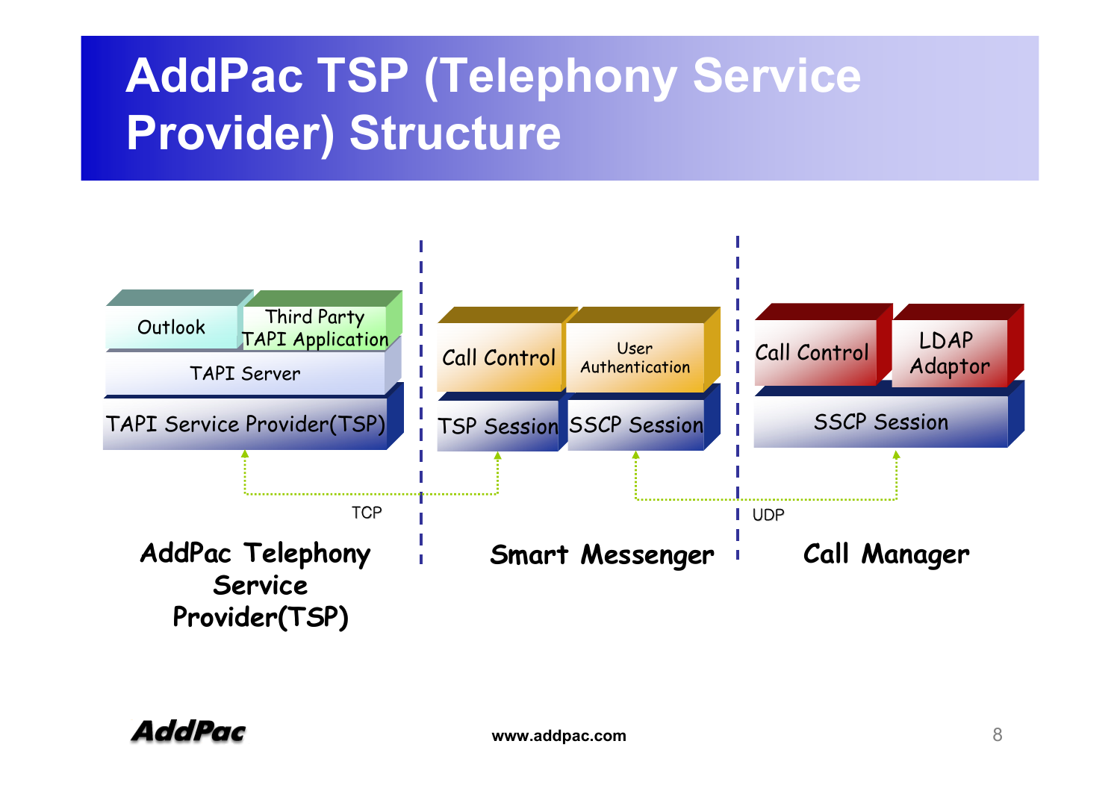## **AddPac TSP (Telephony Service Provider) Structure**

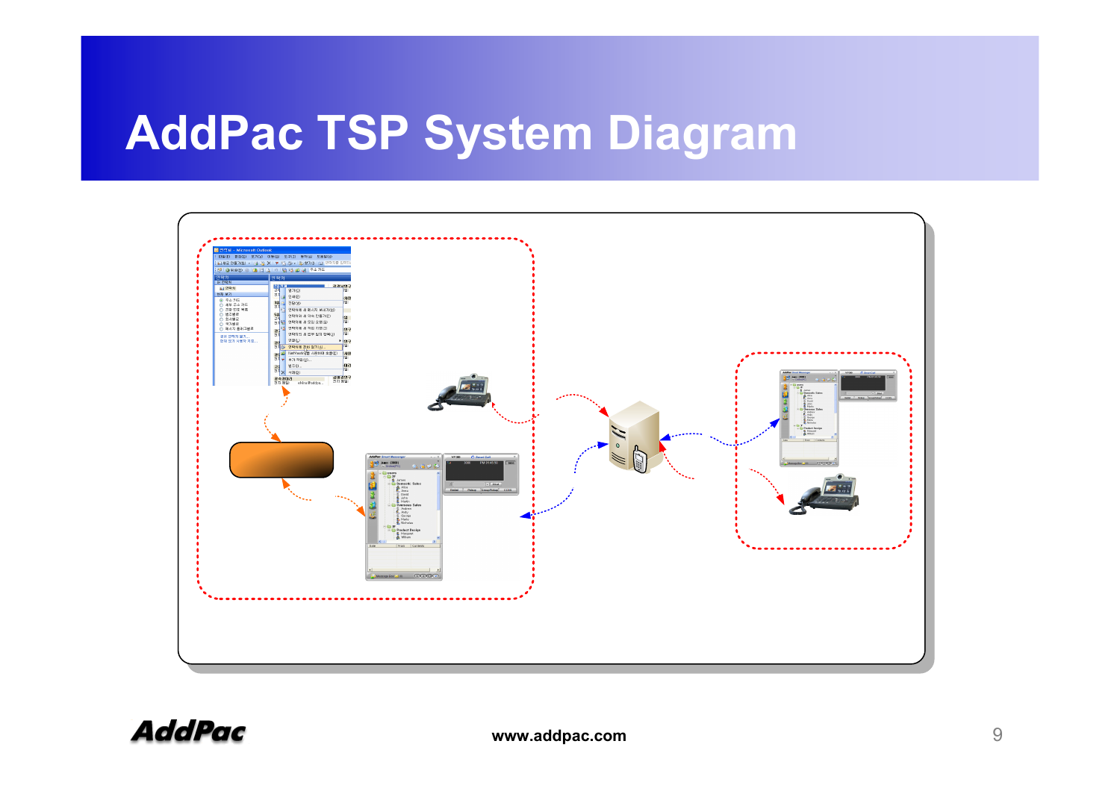### **AddPac TSP System Diagram**

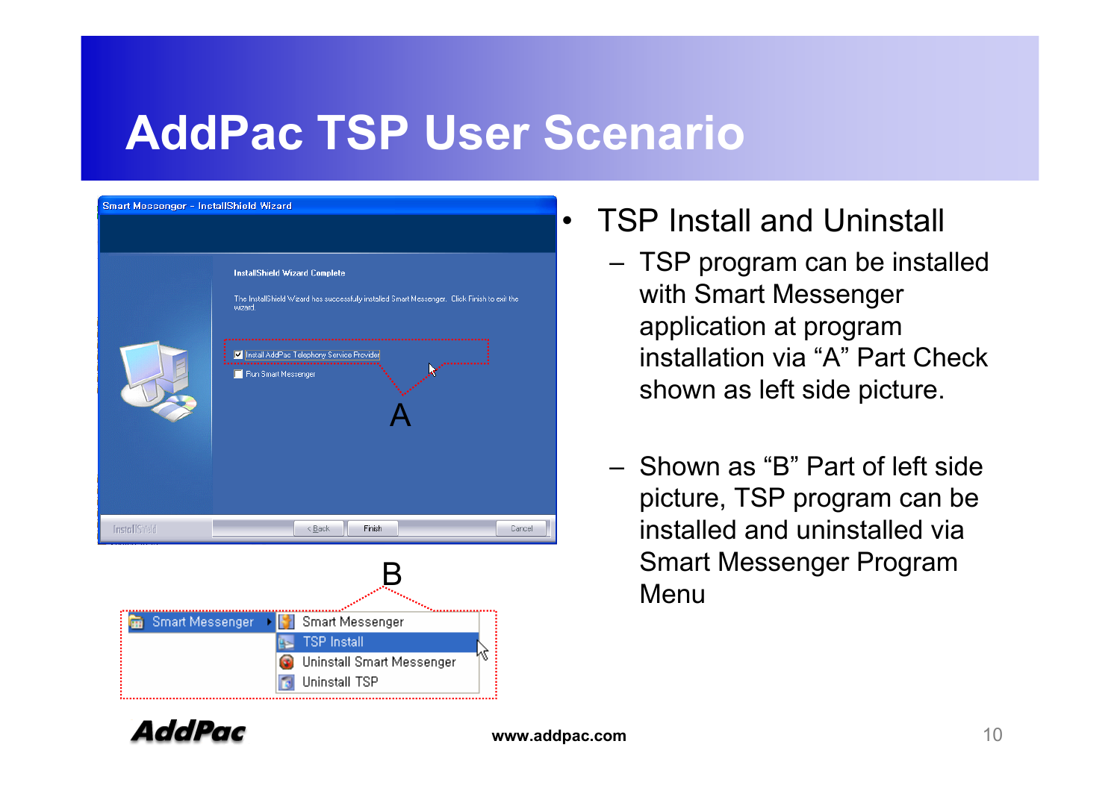

- TSP Install and Uninstall
	- TSP program can be installed with Smart Messenger application at program installation via "A" Part Check shown as left side picture.
	- Shown as "B" Part of left side picture, TSP program can be installed and uninstalled via Smart Messenger Program Menu

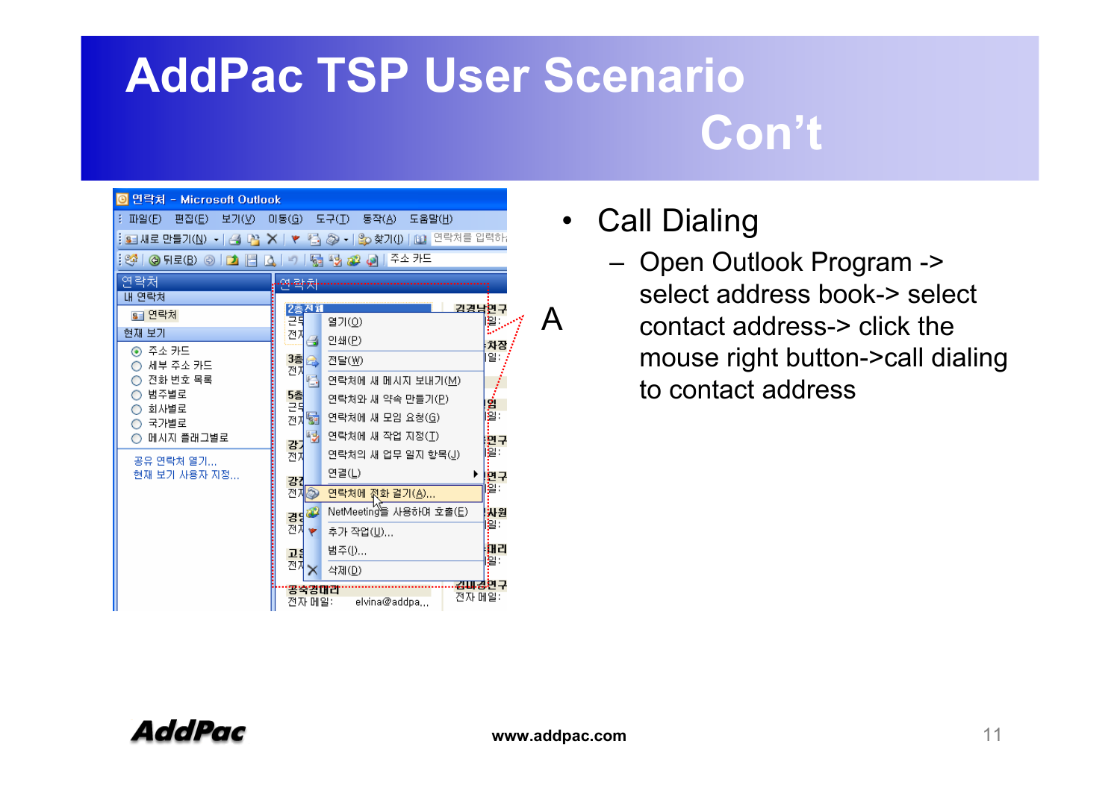| 연락처 - Microsoft Outlook                                                                                     |                                               |  |  |  |  |
|-------------------------------------------------------------------------------------------------------------|-----------------------------------------------|--|--|--|--|
| 파일(E)<br>편집(E)<br>보기(V)<br>도구(I)<br>미동(G)<br>동작(A)<br>도움말(出)                                                |                                               |  |  |  |  |
| <mark>◇ -   은</mark> o 찾기(!)   [1] 연락처를 입력하.<br>BE 새로 만들기( <u>N</u> ) ▼   <i>음</i> 나꼭<br>h<br>$\times$<br>₹ |                                               |  |  |  |  |
| 주소 카드<br>: 90°<br>髓<br>병<br>│ ⓒ 뒤로( <u>B</u> )<br>$\circledcirc$<br>眉<br>a B<br>آهه<br>$\mathbb{Z}$<br>₫    |                                               |  |  |  |  |
| 연락처<br>. <u>.</u> .                                                                                         |                                               |  |  |  |  |
| 내 연락처                                                                                                       |                                               |  |  |  |  |
| §∃ 연락처.                                                                                                     | 김경남현구<br>2층전체<br>려<br>꽐<br>열기(0)              |  |  |  |  |
| 현재 보기                                                                                                       | 전지<br>인쇄(P)<br>a                              |  |  |  |  |
| ◉ 주소 카드                                                                                                     | 차짐<br>[일:<br>3층                               |  |  |  |  |
| 세부 주소 카드<br>∩                                                                                               | 전달(W)<br>€<br>전자                              |  |  |  |  |
| 전화 번호 목록<br>범주별로<br>O                                                                                       | 骨<br>연락처에 새 메시지 보내기(M).<br>5층                 |  |  |  |  |
| 회사별로<br>O                                                                                                   | 연락처와 새 약속 만들기(P)<br>ng<br>I≌∷<br>근뒤           |  |  |  |  |
| 국가별로<br>O                                                                                                   | 듧<br>연락처에 새 모임 요청(G)<br>전자                    |  |  |  |  |
| 메시지 플래그별로                                                                                                   | 喝<br>연락처에 새 작업 지정(T)<br>면구<br>강기              |  |  |  |  |
| 공유 연락처 열기                                                                                                   | l <mark>智:</mark><br>연락처의 새 업무 일지 항목(J)<br>전지 |  |  |  |  |
| 현재 보기 사용자 지정                                                                                                | 연결(L)<br>▶<br>변구<br>강                         |  |  |  |  |
|                                                                                                             | 할:<br>전자<br>۵<br>연락처에 젔화 걸기(A)                |  |  |  |  |
|                                                                                                             | NetMeeting을 사용하며 호출(E)<br>보원<br>경영관           |  |  |  |  |
|                                                                                                             | 일:<br>전자<br>추가 작업(U)<br>۳                     |  |  |  |  |
|                                                                                                             | ाम<br>범주(I)<br>고음                             |  |  |  |  |
|                                                                                                             | 圖:<br>전지<br>삭제(D)                             |  |  |  |  |
|                                                                                                             | 김파경연구<br>좋쑥경대감                                |  |  |  |  |
|                                                                                                             | 전자 메일:<br>전자 메일:<br>elvina@addpa              |  |  |  |  |

- $\bullet$  Call Dialing
	- Open Outlook Program -> select address book-> select contact address-> click the mouse right button->call dialing to contact address

A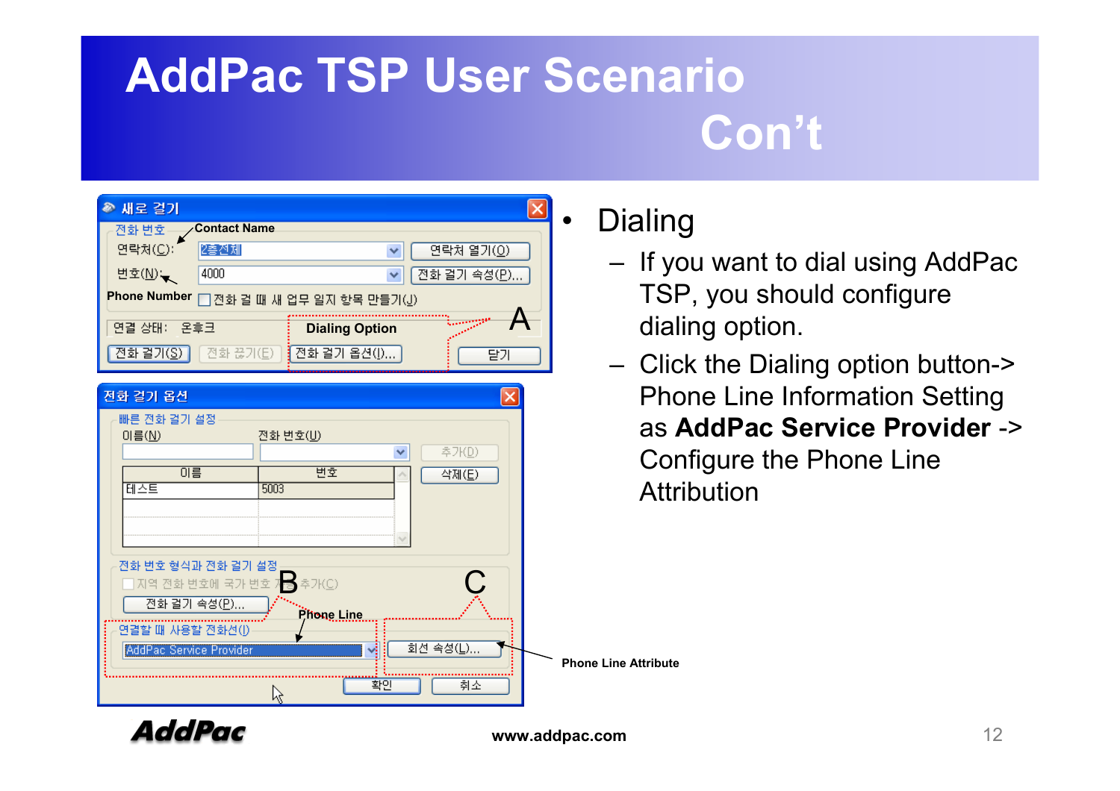| 새로 걸기                                             |                     |                       |                    |  |  |
|---------------------------------------------------|---------------------|-----------------------|--------------------|--|--|
| 전화 변호                                             | <b>Contact Name</b> |                       |                    |  |  |
| 연락처(C):                                           | 2층전체                |                       | 연락처 열기( <u>0</u> ) |  |  |
| 변호(∐) —                                           | 4000                |                       | 전화 걸기 속성(P)        |  |  |
| <b>Phone Number</b><br>□ 전화 걸 때 새 업무 일자 항목 만들기(1) |                     |                       |                    |  |  |
| 연결 상태:<br>온후크                                     |                     | <b>Dialing Option</b> |                    |  |  |
| [전화 걸기( <u>S)</u> ]                               | [전화 끊기( <u>E</u> )  | ┋전화 걸기 옵션(!)          | 달기                 |  |  |

| 전화 걸기 옵션                                                                                                 |                                |                                      |                             |
|----------------------------------------------------------------------------------------------------------|--------------------------------|--------------------------------------|-----------------------------|
| 빠른 전화 걸기 설정<br>이름 $($<br>이름<br>테스트                                                                       | 전화 번호(U)<br>변호<br>5003         | 추가( <u>D</u> )<br>×<br>삭제( <u>E)</u> | as<br>Cor<br>Attr           |
| 전화 변호 형식과 전화 걸기 설정<br>□ 지역 전화 번호에 국가 번호 자동<br>전화 걸기 속성(P)<br>연결할 때 사용할 전화선(J)<br>AddPac Service Provider | 추가(C)<br>Phone Line<br>◡<br>확인 | 회선 속성(L)<br>취소                       | <b>Phone Line Attribute</b> |

#### $\bullet$ **Dialing**

- If you want to dial using AddPac TSP, you should configure dialing option.
- Click the Dialing option button-> Phone Line Information Setting as **AddPac Service Provider** -> Configure the Phone Line **Attribution**

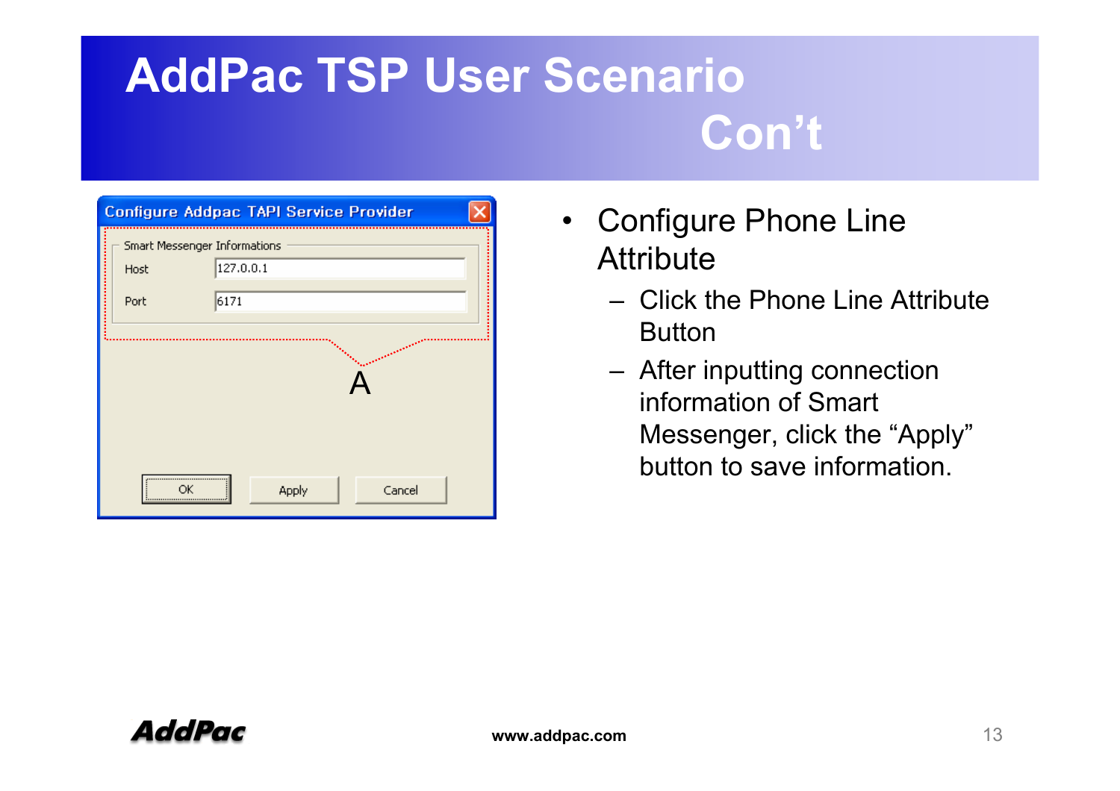| Configure Addpac TAPI Service Provider |                              |                 |  |  |  |  |
|----------------------------------------|------------------------------|-----------------|--|--|--|--|
|                                        | Smart Messenger Informations |                 |  |  |  |  |
|                                        | Host                         | 127.0.0.1       |  |  |  |  |
|                                        | Port                         | 6171            |  |  |  |  |
|                                        |                              |                 |  |  |  |  |
|                                        |                              | Cancel<br>Apply |  |  |  |  |

- $\bullet$  Configure Phone Line **Attribute** 
	- Click the Phone Line Attribute Button
	- After inputting connection information of Smart Messenger, click the "Apply" button to save information.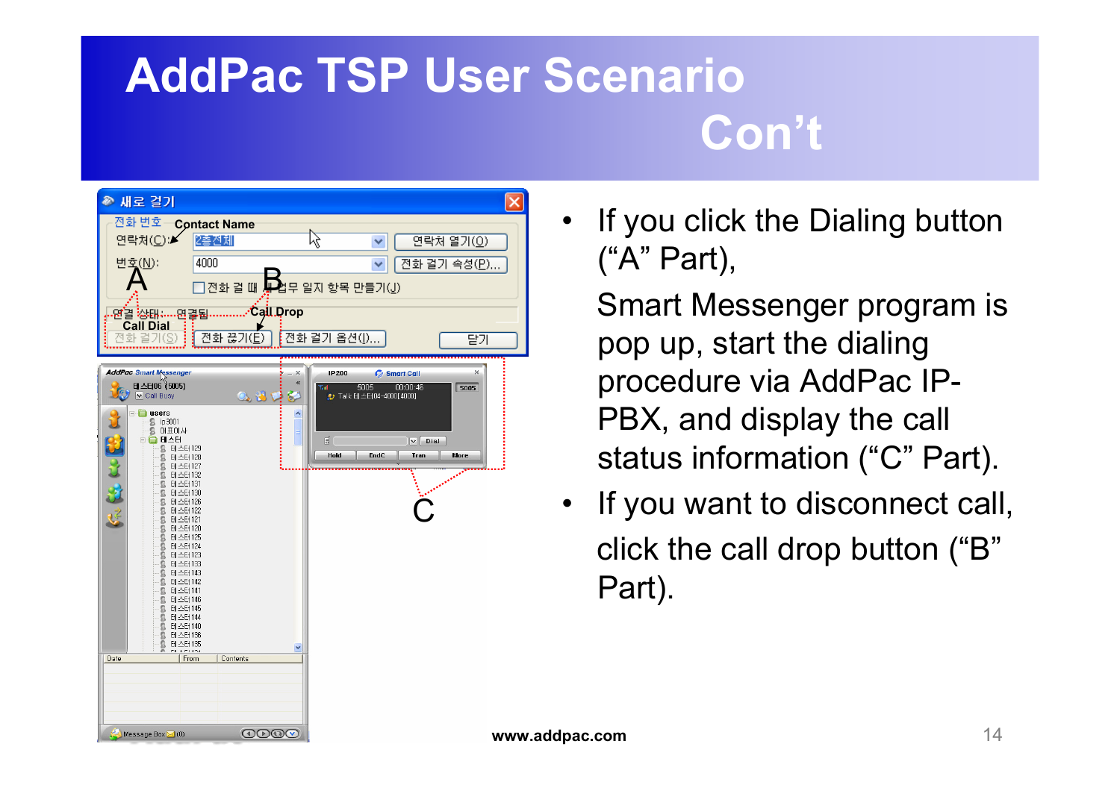

• If you click the Dialing button ("A" Part),

Smart Messenger program is pop up, start the dialing procedure via AddPac IP-PBX, and display the call status information ("C" Part).

• If you want to disconnect call, click the call drop button ("B" Part).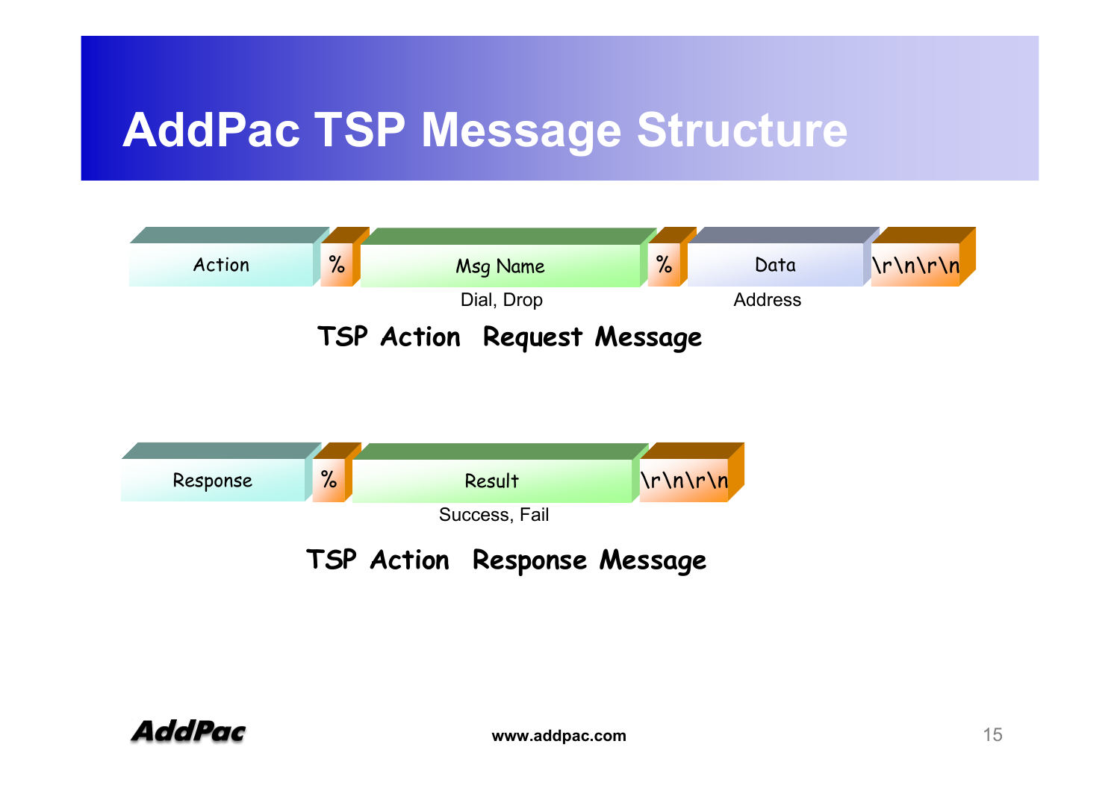#### **AddPac TSP Message Structure**





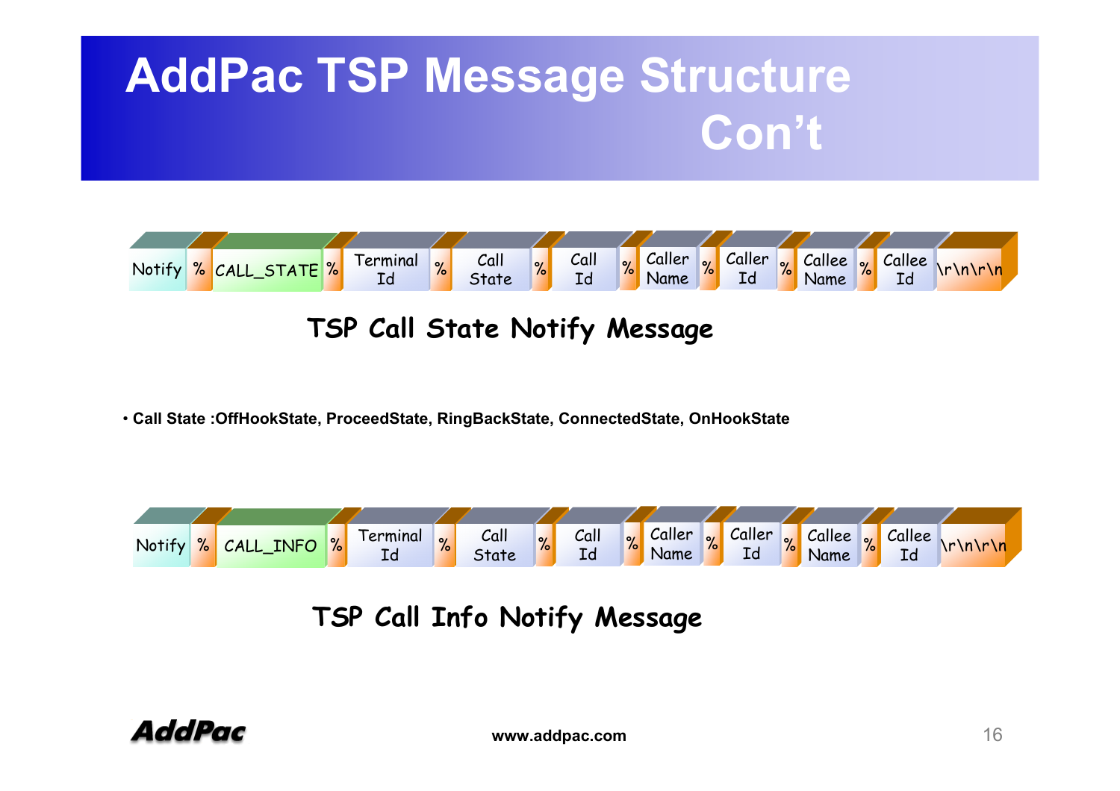## **AddPac TSP Message Structure Con't**



#### **TSP Call State Notify Message**

• **Call State :OffHookState, ProceedState, RingBackState, ConnectedState, OnHookState**



**TSP Call Info Notify Message**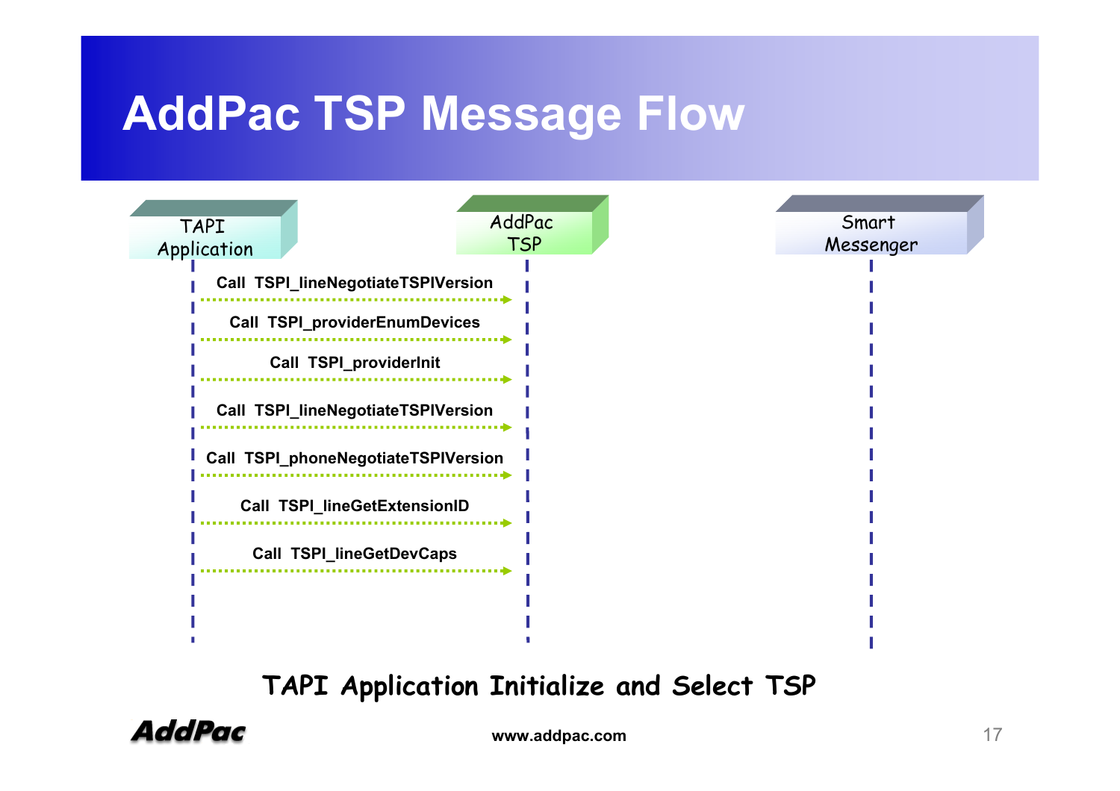#### **AddPac TSP Message Flow**



#### **TAPI Application Initialize and Select TSP**



**www.addpac.com** 17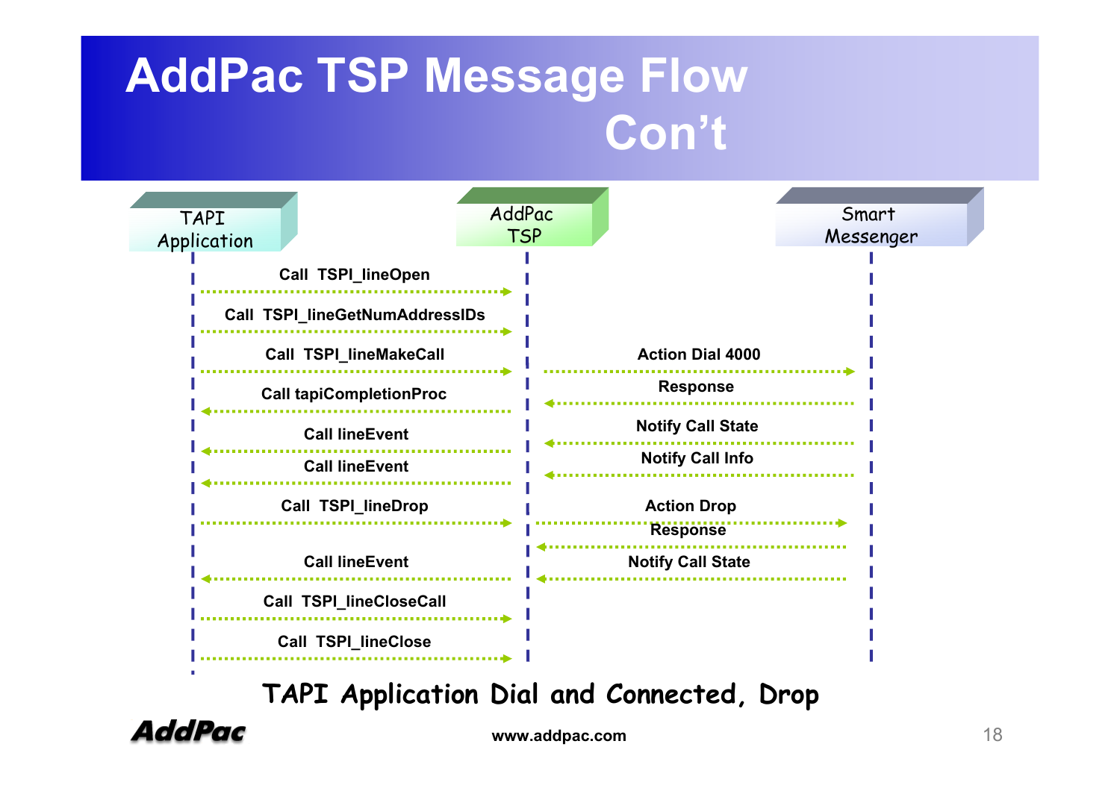### **AddPac TSP Message Flow Con't**



**TAPI Application Dial and Connected, Drop**



**www.addpac.com** 18